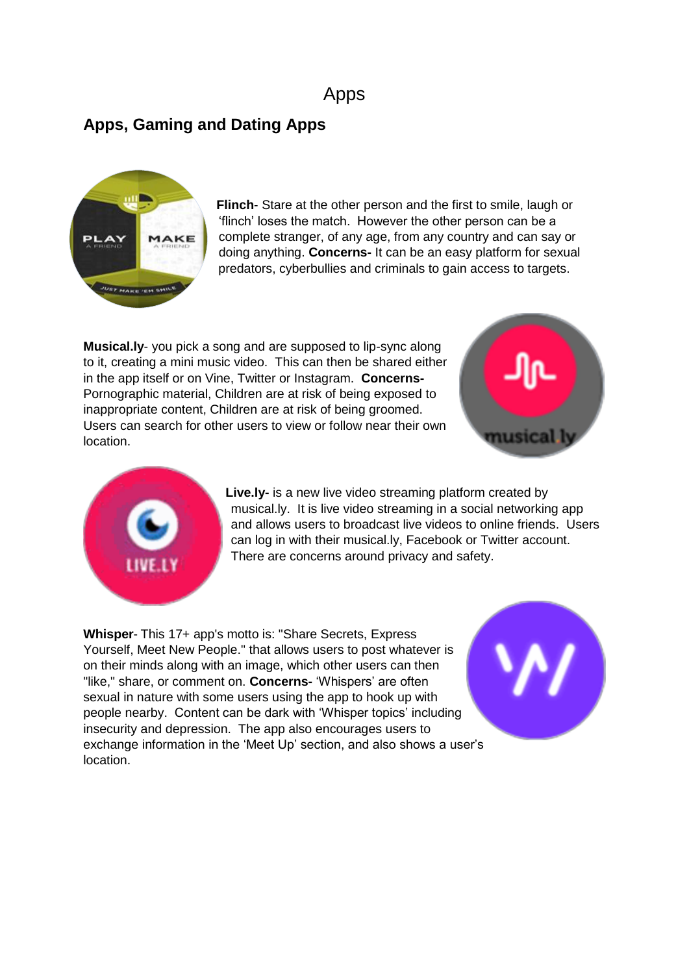## Apps

## **Apps, Gaming and Dating Apps**



**Flinch**- Stare at the other person and the first to smile, laugh or 'flinch' loses the match. However the other person can be a complete stranger, of any age, from any country and can say or doing anything. **Concerns-** It can be an easy platform for sexual predators, cyberbullies and criminals to gain access to targets.

**Musical.ly**- you pick a song and are supposed to lip-sync along to it, creating a mini music video. This can then be shared either in the app itself or on Vine, Twitter or Instagram. **Concerns-**Pornographic material, Children are at risk of being exposed to inappropriate content, Children are at risk of being groomed. Users can search for other users to view or follow near their own location.





**Live.ly-** is a new live video streaming platform created by musical.ly. It is live video streaming in a social networking app and allows users to broadcast live videos to online friends. Users can log in with their musical.ly, Facebook or Twitter account. There are concerns around privacy and safety.

**Whisper**- This 17+ app's motto is: "Share Secrets, Express Yourself, Meet New People." that allows users to post whatever is on their minds along with an image, which other users can then "like," share, or comment on. **Concerns-** 'Whispers' are often sexual in nature with some users using the app to hook up with people nearby. Content can be dark with 'Whisper topics' including insecurity and depression. The app also encourages users to exchange information in the 'Meet Up' section, and also shows a user's location.

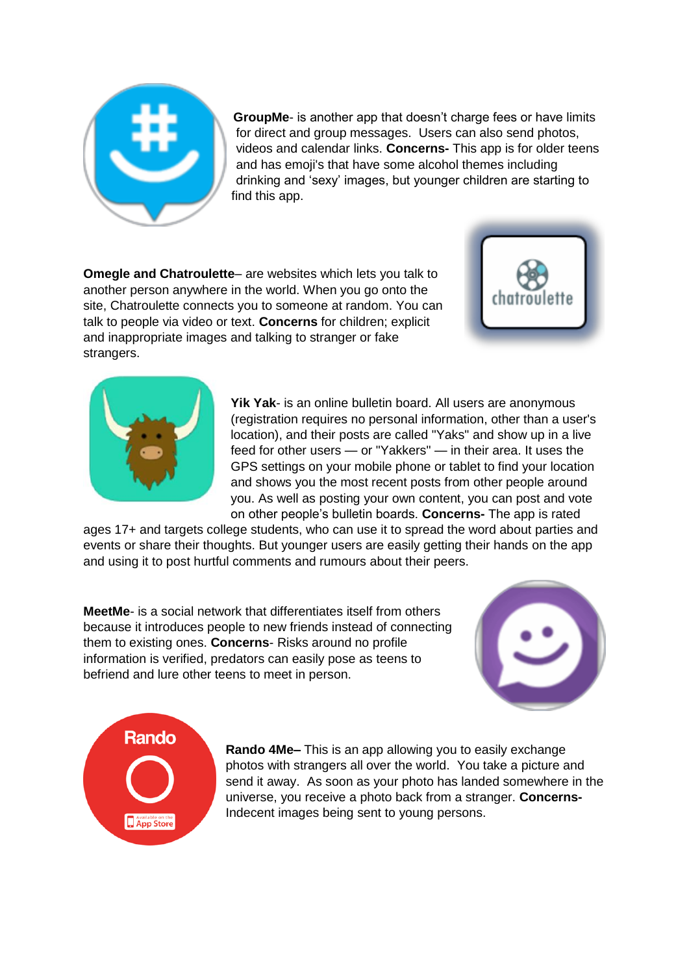

**GroupMe**- is another app that doesn't charge fees or have limits for direct and group messages. Users can also send photos, videos and calendar links. **Concerns-** This app is for older teens and has emoji's that have some alcohol themes including drinking and 'sexy' images, but younger children are starting to find this app.

**Omegle and Chatroulette**– are websites which lets you talk to another person anywhere in the world. When you go onto the site, Chatroulette connects you to someone at random. You can talk to people via video or text. **Concerns** for children; explicit and inappropriate images and talking to stranger or fake strangers.





**Yik Yak**- is an online bulletin board. All users are anonymous (registration requires no personal information, other than a user's location), and their posts are called "Yaks" and show up in a live feed for other users — or "Yakkers" — in their area. It uses the GPS settings on your mobile phone or tablet to find your location and shows you the most recent posts from other people around you. As well as posting your own content, you can post and vote on other people's bulletin boards. **Concerns-** The app is rated

ages 17+ and targets college students, who can use it to spread the word about parties and events or share their thoughts. But younger users are easily getting their hands on the app and using it to post hurtful comments and rumours about their peers.

**MeetMe**- is a social network that differentiates itself from others because it introduces people to new friends instead of connecting them to existing ones. **Concerns**- Risks around no profile information is verified, predators can easily pose as teens to befriend and lure other teens to meet in person.





**Rando 4Me–** This is an app allowing you to easily exchange photos with strangers all over the world. You take a picture and send it away. As soon as your photo has landed somewhere in the universe, you receive a photo back from a stranger. **Concerns-**Indecent images being sent to young persons.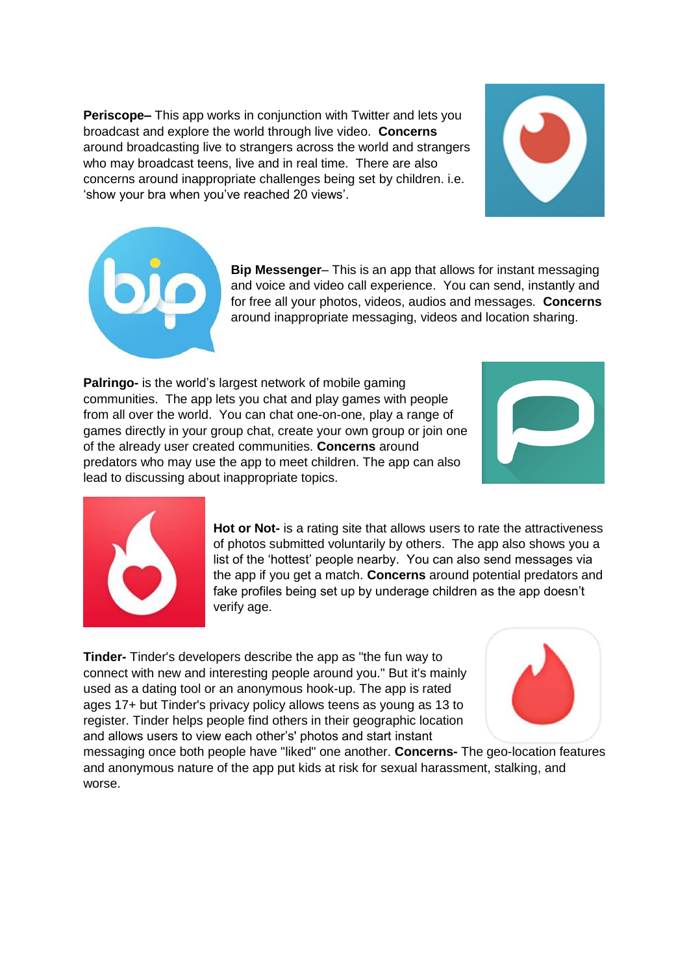**Periscope–** This app works in conjunction with Twitter and lets you broadcast and explore the world through live video. **Concerns** around broadcasting live to strangers across the world and strangers who may broadcast teens, live and in real time. There are also concerns around inappropriate challenges being set by children. i.e. 'show your bra when you've reached 20 views'.





**Bip Messenger**– This is an app that allows for instant messaging and voice and video call experience. You can send, instantly and for free all your photos, videos, audios and messages. **Concerns**  around inappropriate messaging, videos and location sharing.

**Palringo-** is the world's largest network of mobile gaming communities. The app lets you chat and play games with people from all over the world. You can chat one-on-one, play a range of games directly in your group chat, create your own group or join one of the already user created communities. **Concerns** around predators who may use the app to meet children. The app can also lead to discussing about inappropriate topics.





**Hot or Not-** is a rating site that allows users to rate the attractiveness of photos submitted voluntarily by others. The app also shows you a list of the 'hottest' people nearby. You can also send messages via the app if you get a match. **Concerns** around potential predators and fake profiles being set up by underage children as the app doesn't verify age.

**Tinder-** Tinder's developers describe the app as "the fun way to connect with new and interesting people around you." But it's mainly used as a dating tool or an anonymous hook-up. The app is rated ages 17+ but Tinder's privacy policy allows teens as young as 13 to register. Tinder helps people find others in their geographic location and allows users to view each other's' photos and start instant



messaging once both people have "liked" one another. **Concerns-** The geo-location features and anonymous nature of the app put kids at risk for sexual harassment, stalking, and worse.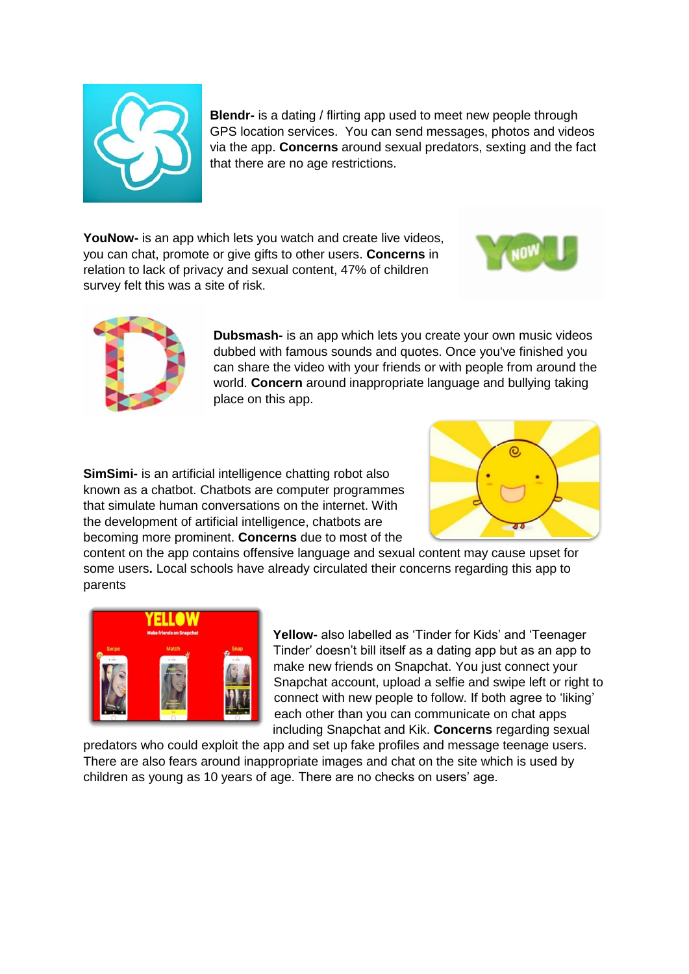

**Blendr-** is a dating / flirting app used to meet new people through GPS location services. You can send messages, photos and videos via the app. **Concerns** around sexual predators, sexting and the fact that there are no age restrictions.

**YouNow-** is an app which lets you watch and create live videos, you can chat, promote or give gifts to other users. **Concerns** in relation to lack of privacy and sexual content, 47% of children survey felt this was a site of risk.





**Dubsmash-** is an app which lets you create your own music videos dubbed with famous sounds and quotes. Once you've finished you can share the video with your friends or with people from around the world. **Concern** around inappropriate language and bullying taking place on this app.

**SimSimi-** is an artificial intelligence chatting robot also known as a chatbot. Chatbots are computer programmes that simulate human conversations on the internet. With the development of artificial intelligence, chatbots are becoming more prominent. **Concerns** due to most of the



content on the app contains offensive language and sexual content may cause upset for some users**.** Local schools have already circulated their concerns regarding this app to parents



**Yellow-** also labelled as 'Tinder for Kids' and 'Teenager Tinder' doesn't bill itself as a dating app but as an app to make new friends on Snapchat. You just connect your Snapchat account, upload a selfie and swipe left or right to connect with new people to follow. If both agree to 'liking' each other than you can communicate on chat apps including Snapchat and Kik. **Concerns** regarding sexual

predators who could exploit the app and set up fake profiles and message teenage users. There are also fears around inappropriate images and chat on the site which is used by children as young as 10 years of age. There are no checks on users' age.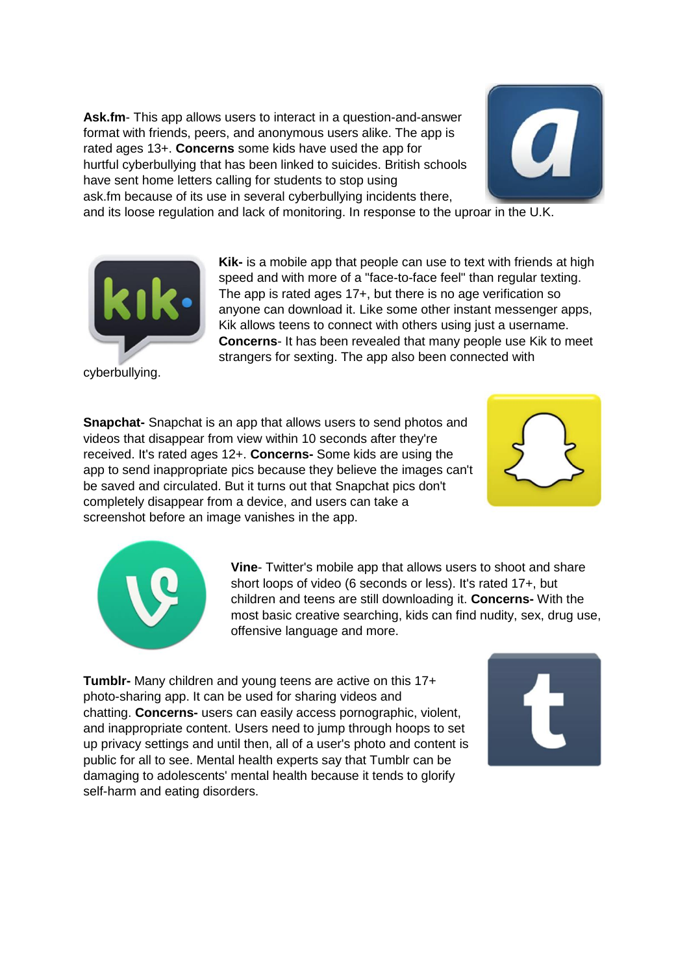**Ask.fm**- This app allows users to interact in a question-and-answer format with friends, peers, and anonymous users alike. The app is rated ages 13+. **Concerns** some kids have used the app for hurtful cyberbullying that has been linked to suicides. British schools have sent home letters calling for students to stop using ask.fm because of its use in several cyberbullying incidents there,



and its loose regulation and lack of monitoring. In response to the uproar in the U.K.



cyberbullying.

**Kik-** is a mobile app that people can use to text with friends at high speed and with more of a "face-to-face feel" than regular texting. The app is rated ages 17+, but there is no age verification so anyone can download it. Like some other instant messenger apps, Kik allows teens to connect with others using just a username. **Concerns**- It has been revealed that many people use Kik to meet strangers for sexting. The app also been connected with

**Snapchat-** Snapchat is an app that allows users to send photos and videos that disappear from view within 10 seconds after they're received. It's rated ages 12+. **Concerns-** Some kids are using the app to send inappropriate pics because they believe the images can't be saved and circulated. But it turns out that Snapchat pics don't completely disappear from a device, and users can take a screenshot before an image vanishes in the app.





**Vine**- Twitter's mobile app that allows users to shoot and share short loops of video (6 seconds or less). It's rated 17+, but children and teens are still downloading it. **Concerns-** With the most basic creative searching, kids can find nudity, sex, drug use, offensive language and more.

**Tumblr-** Many children and young teens are active on this 17+ photo-sharing app. It can be used for sharing videos and chatting. **Concerns-** users can easily access pornographic, violent, and inappropriate content. Users need to jump through hoops to set up privacy settings and until then, all of a user's photo and content is public for all to see. Mental health experts say that Tumblr can be damaging to adolescents' mental health because it tends to glorify self-harm and eating disorders.

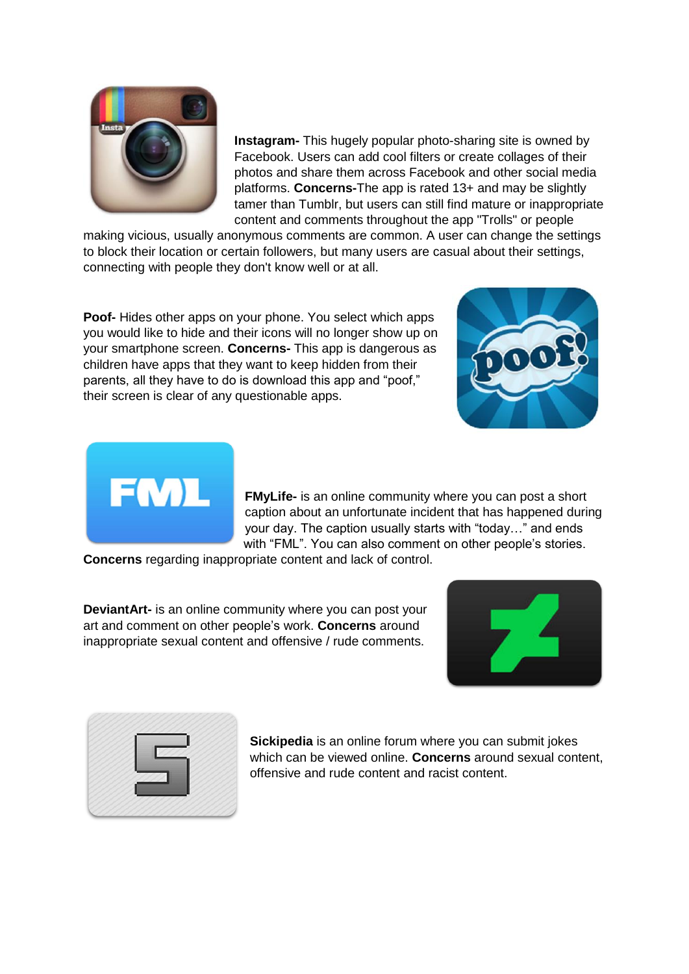

**Instagram-** This hugely popular photo-sharing site is owned by Facebook. Users can add cool filters or create collages of their photos and share them across Facebook and other social media platforms. **Concerns-**The app is rated 13+ and may be slightly tamer than Tumblr, but users can still find mature or inappropriate content and comments throughout the app "Trolls" or people

making vicious, usually anonymous comments are common. A user can change the settings to block their location or certain followers, but many users are casual about their settings, connecting with people they don't know well or at all.

**Poof-** Hides other apps on your phone. You select which apps you would like to hide and their icons will no longer show up on your smartphone screen. **Concerns-** This app is dangerous as children have apps that they want to keep hidden from their parents, all they have to do is download this app and "poof," their screen is clear of any questionable apps.





**FMyLife-** is an online community where you can post a short caption about an unfortunate incident that has happened during your day. The caption usually starts with "today…" and ends with "FML". You can also comment on other people's stories.

**Concerns** regarding inappropriate content and lack of control.

**DeviantArt-** is an online community where you can post your art and comment on other people's work. **Concerns** around inappropriate sexual content and offensive / rude comments.





**Sickipedia** is an online forum where you can submit jokes which can be viewed online. **Concerns** around sexual content, offensive and rude content and racist content.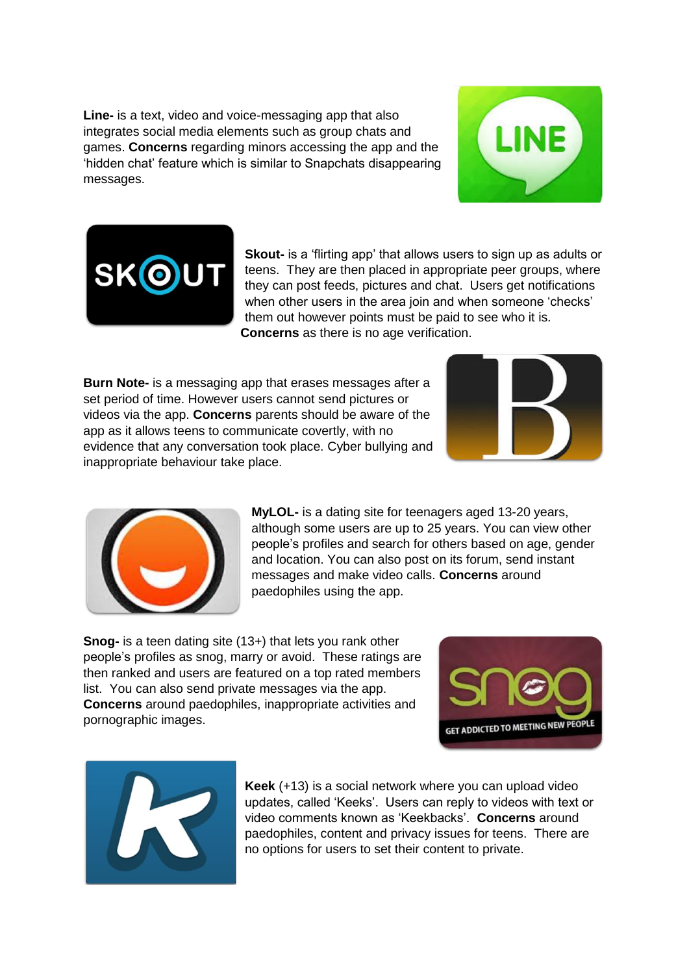**Line-** is a text, video and voice-messaging app that also integrates social media elements such as group chats and games. **Concerns** regarding minors accessing the app and the 'hidden chat' feature which is similar to Snapchats disappearing messages.





**Skout-** is a 'flirting app' that allows users to sign up as adults or teens. They are then placed in appropriate peer groups, where they can post feeds, pictures and chat. Users get notifications when other users in the area join and when someone 'checks' them out however points must be paid to see who it is. **Concerns** as there is no age verification.

**Burn Note-** is a messaging app that erases messages after a set period of time. However users cannot send pictures or videos via the app. **Concerns** parents should be aware of the app as it allows teens to communicate covertly, with no evidence that any conversation took place. Cyber bullying and inappropriate behaviour take place.





**MyLOL-** is a dating site for teenagers aged 13-20 years, although some users are up to 25 years. You can view other people's profiles and search for others based on age, gender and location. You can also post on its forum, send instant messages and make video calls. **Concerns** around paedophiles using the app.

**Snog-** is a teen dating site (13+) that lets you rank other people's profiles as snog, marry or avoid. These ratings are then ranked and users are featured on a top rated members list. You can also send private messages via the app. **Concerns** around paedophiles, inappropriate activities and pornographic images.





**Keek** (+13) is a social network where you can upload video updates, called 'Keeks'. Users can reply to videos with text or video comments known as 'Keekbacks'. **Concerns** around paedophiles, content and privacy issues for teens. There are no options for users to set their content to private.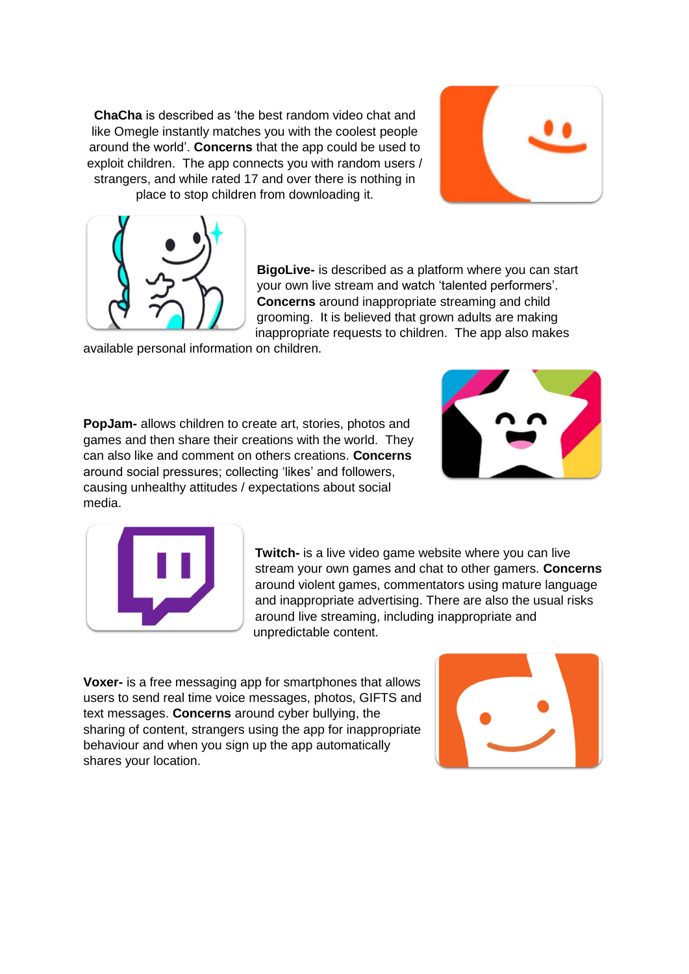**ChaCha** is described as 'the best random video chat and like Omegle instantly matches you with the coolest people around the world'. **Concerns** that the app could be used to exploit children. The app connects you with random users / strangers, and while rated 17 and over there is nothing in place to stop children from downloading it.





**BigoLive-** is described as a platform where you can start your own live stream and watch 'talented performers'. **Concerns** around inappropriate streaming and child grooming. It is believed that grown adults are making inappropriate requests to children. The app also makes

available personal information on children.

**PopJam-** allows children to create art, stories, photos and games and then share their creations with the world. They can also like and comment on others creations. **Concerns**  around social pressures; collecting 'likes' and followers, causing unhealthy attitudes / expectations about social media.





**Twitch-** is a live video game website where you can live stream your own games and chat to other gamers. **Concerns** around violent games, commentators using mature language and inappropriate advertising. There are also the usual risks around live streaming, including inappropriate and unpredictable content.

**Voxer-** is a free messaging app for smartphones that allows users to send real time voice messages, photos, GIFTS and text messages. **Concerns** around cyber bullying, the sharing of content, strangers using the app for inappropriate behaviour and when you sign up the app automatically shares your location.

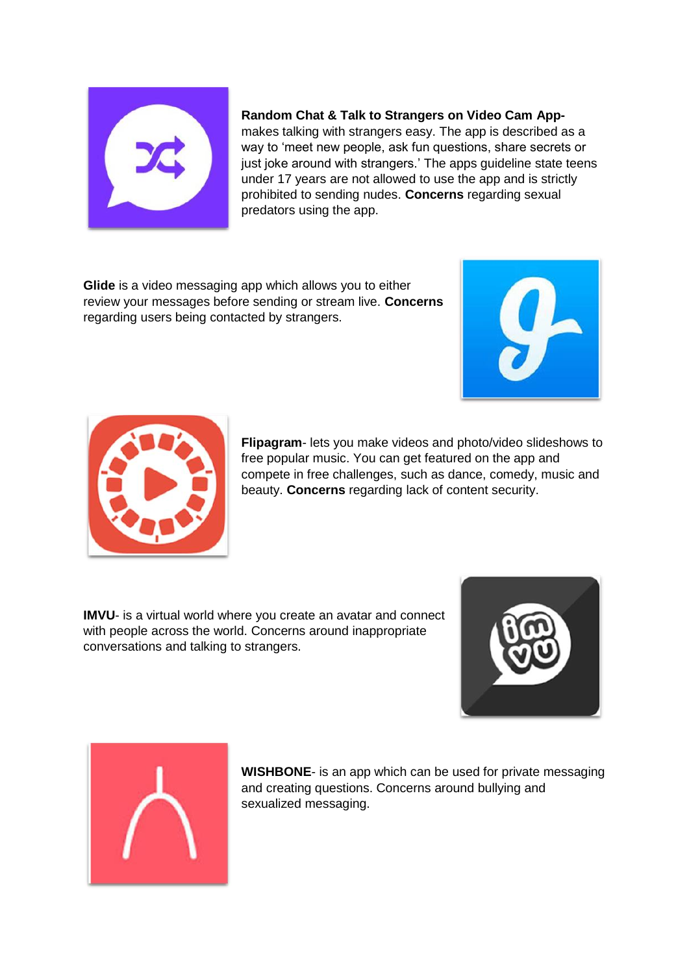

**Random Chat & Talk to Strangers on Video Cam App**makes talking with strangers easy. The app is described as a way to 'meet new people, ask fun questions, share secrets or just joke around with strangers.' The apps guideline state teens under 17 years are not allowed to use the app and is strictly prohibited to sending nudes. **Concerns** regarding sexual predators using the app.

**Glide** is a video messaging app which allows you to either review your messages before sending or stream live. **Concerns** regarding users being contacted by strangers.





**Flipagram**- lets you make videos and photo/video slideshows to free popular music. You can get featured on the app and compete in free challenges, such as dance, comedy, music and beauty. **Concerns** regarding lack of content security.

**IMVU**- is a virtual world where you create an avatar and connect with people across the world. Concerns around inappropriate conversations and talking to strangers.





**WISHBONE**- is an app which can be used for private messaging and creating questions. Concerns around bullying and sexualized messaging.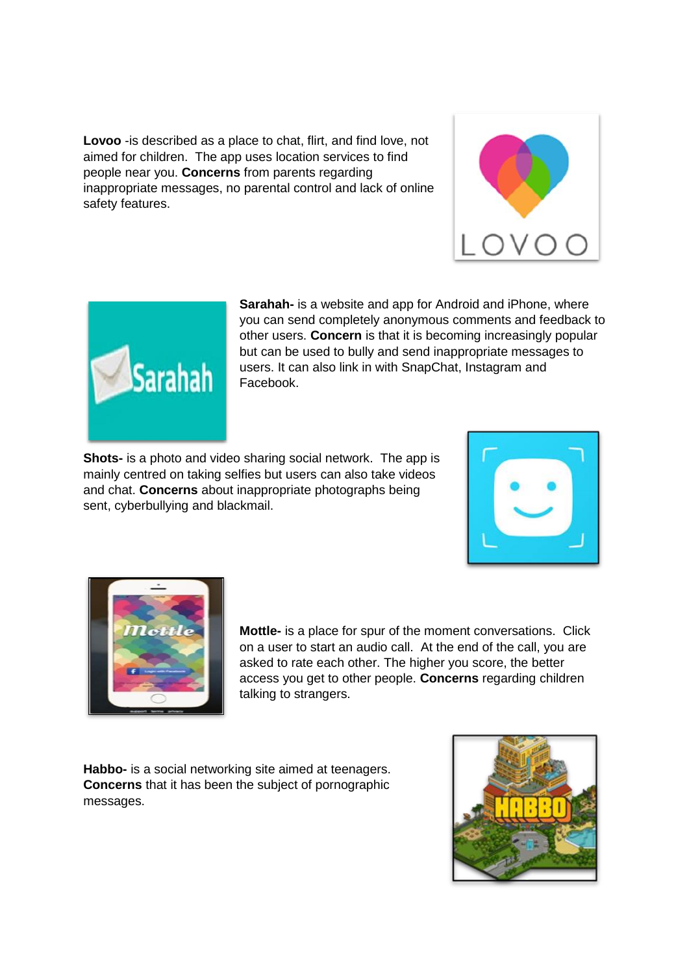**Lovoo** -is described as a place to chat, flirt, and find love, not aimed for children. The app uses location services to find people near you. **Concerns** from parents regarding inappropriate messages, no parental control and lack of online safety features.





**Sarahah-** is a website and app for Android and iPhone, where you can send completely anonymous comments and feedback to other users. **Concern** is that it is becoming increasingly popular but can be used to bully and send inappropriate messages to users. It can also link in with SnapChat, Instagram and Facebook.

**Shots-** is a photo and video sharing social network. The app is mainly centred on taking selfies but users can also take videos and chat. **Concerns** about inappropriate photographs being sent, cyberbullying and blackmail.





**Mottle-** is a place for spur of the moment conversations. Click on a user to start an audio call. At the end of the call, you are asked to rate each other. The higher you score, the better access you get to other people. **Concerns** regarding children talking to strangers.

**Habbo-** is a social networking site aimed at teenagers. **Concerns** that it has been the subject of pornographic messages.